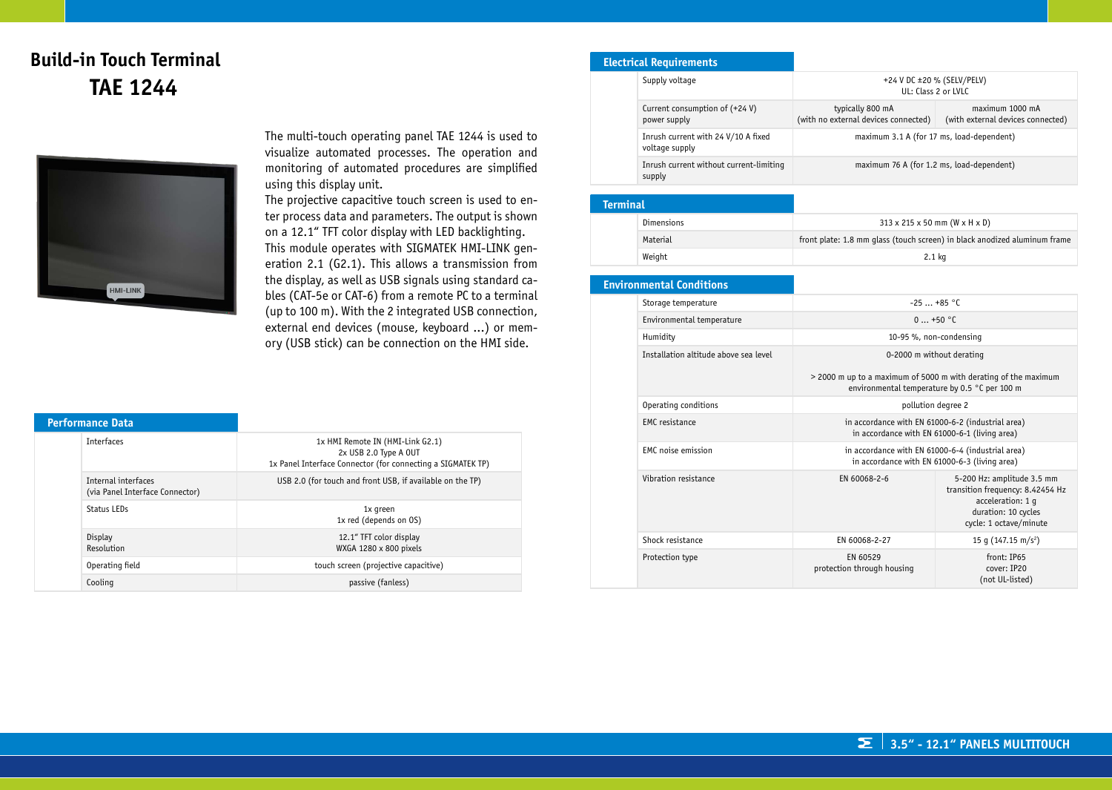# **Build-in Touch Terminal TAE 1244**



The multi-touch operating panel TAE 1244 is used to visualize automated processes. The operation and monitoring of automated procedures are simplified using this display unit.

The projective capacitive touch screen is used to enter process data and parameters. The output is shown on a 12.1" TFT color display with LED backlighting. This module operates with SIGMATEK HMI-LINK generation 2.1 (G2.1). This allows a transmission from the display, as well as USB signals using standard cables (CAT-5e or CAT-6) from a remote PC to a terminal (up to 100 m). With the 2 integrated USB connection, external end devices (mouse, keyboard ...) or memory (USB stick) can be connection on the HMI side.

| <b>Performance Data</b> |                                                        |                                                                                                                          |
|-------------------------|--------------------------------------------------------|--------------------------------------------------------------------------------------------------------------------------|
|                         | <b>Interfaces</b>                                      | 1x HMI Remote IN (HMI-Link G2.1)<br>2x USB 2.0 Type A OUT<br>1x Panel Interface Connector (for connecting a SIGMATEK TP) |
|                         | Internal interfaces<br>(via Panel Interface Connector) | USB 2.0 (for touch and front USB, if available on the TP)                                                                |
|                         | Status LEDs                                            | 1x green<br>1x red (depends on OS)                                                                                       |
|                         | Display<br>Resolution                                  | 12.1" TFT color display<br>WXGA 1280 x 800 pixels                                                                        |
|                         | Operating field                                        | touch screen (projective capacitive)                                                                                     |
|                         | Cooling                                                | passive (fanless)                                                                                                        |

#### **Electrical Requirements**

|  | Supply voltage                                        | +24 V DC ±20 % (SELV/PELV)<br>UL: Class 2 or LVLC        |                                                      |
|--|-------------------------------------------------------|----------------------------------------------------------|------------------------------------------------------|
|  | Current consumption of $(+24 V)$<br>power supply      | typically 800 mA<br>(with no external devices connected) | maximum 1000 mA<br>(with external devices connected) |
|  | Inrush current with 24 V/10 A fixed<br>voltage supply | maximum 3.1 A (for 17 ms, load-dependent)                |                                                      |
|  | Inrush current without current-limiting<br>supply     | maximum 76 A (for 1.2 ms, load-dependent)                |                                                      |

| <b>Terminal</b> |            |                                                                           |
|-----------------|------------|---------------------------------------------------------------------------|
|                 | Dimensions | $313 \times 215 \times 50$ mm (W $\times$ H $\times$ D)                   |
|                 | Material   | front plate: 1.8 mm glass (touch screen) in black anodized aluminum frame |
|                 | Weight     | $2.1$ kg                                                                  |

#### **Environmental Conditions** Storage temperature  $-25$  ... +85 °C Environmental temperature 0 ... +50 °C Humidity 10-95 %, non-condensing Installation altitude above sea level 0-2000 m without derating > 2000 m up to a maximum of 5000 m with derating of the maximum environmental temperature by 0.5 °C per 100 m Operating conditions **pollution** degree 2 EMC resistance in accordance with EN 61000-6-2 (industrial area) in accordance with EN 61000-6-1 (living area) EMC noise emission **in accordance with EN 61000-6-4 (industrial area)** in accordance with EN 61000-6-3 (living area) Vibration resistance **EN 60068-2-6** EN 60068-2-6 5-200 Hz: amplitude 3.5 mm transition frequency: 8.42454 Hz acceleration: 1 g duration: 10 cycles cycle: 1 octave/minute Shock resistance  $\left| \right|$  EN 60068-2-27  $\left| \right|$  15 g (147.15 m/s<sup>2</sup>) Protection type EN 60529 protection through housing front: IP65 cover: IP20 (not UL-listed)